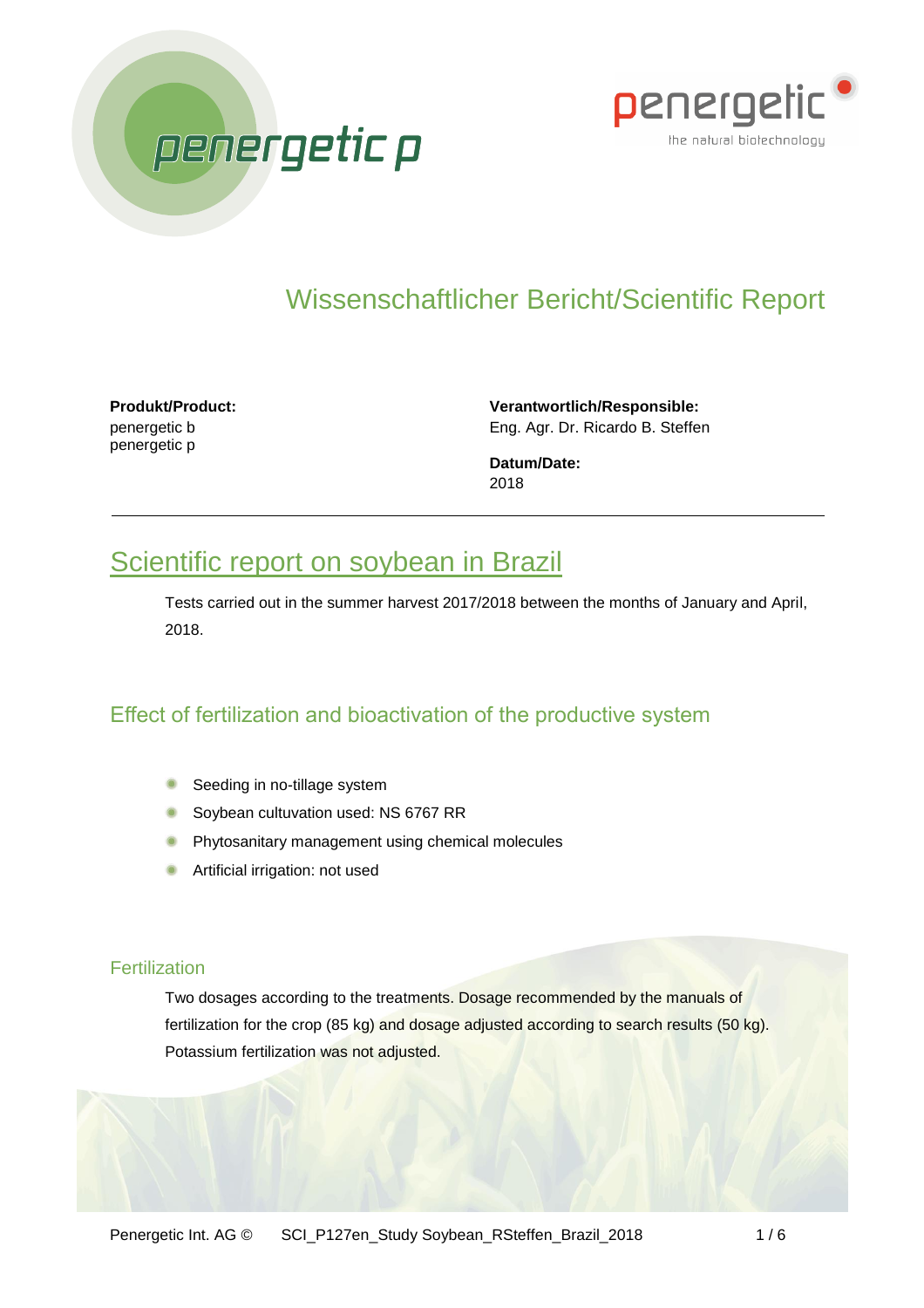



# Wissenschaftlicher Bericht/Scientific Report

**Produkt/Product:** penergetic b penergetic p

**Verantwortlich/Responsible:** Eng. Agr. Dr. Ricardo B. Steffen

**Datum/Date:** 2018

## Scientific report on soybean in Brazil

Tests carried out in the summer harvest 2017/2018 between the months of January and April, 2018.

### Effect of fertilization and bioactivation of the productive system

- **Seeding in no-tillage system**
- Soybean cultuvation used: NS 6767 RR
- **Phytosanitary management using chemical molecules**
- **Artificial irrigation: not used**

#### **Fertilization**

Two dosages according to the treatments. Dosage recommended by the manuals of fertilization for the crop (85 kg) and dosage adjusted according to search results (50 kg). Potassium fertilization was not adjusted.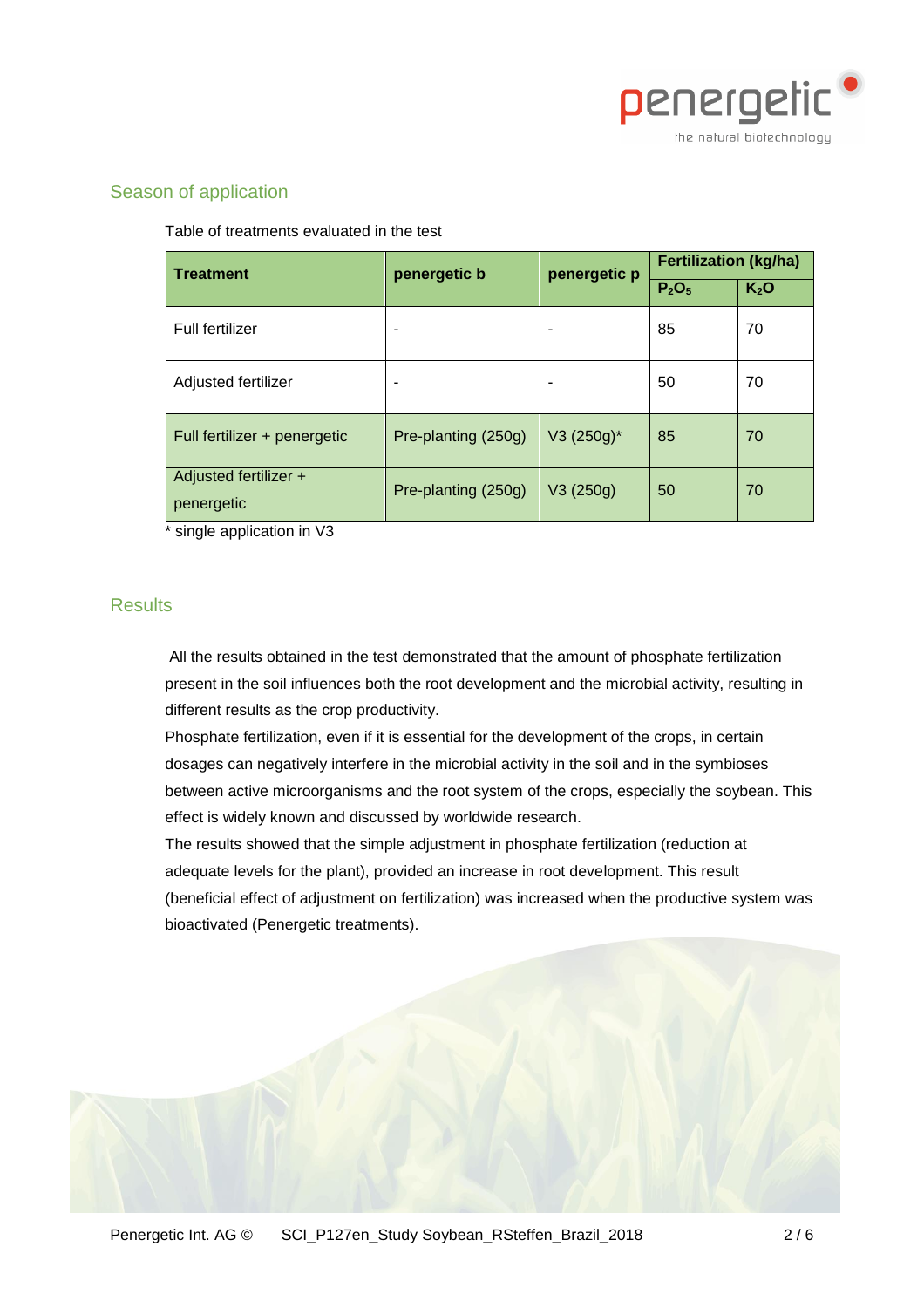

#### Season of application

Table of treatments evaluated in the test

| <b>Treatment</b>                    | penergetic b        | penergetic p  | <b>Fertilization (kg/ha)</b>  |                  |
|-------------------------------------|---------------------|---------------|-------------------------------|------------------|
|                                     |                     |               | P <sub>2</sub> O <sub>5</sub> | K <sub>2</sub> O |
| Full fertilizer                     |                     |               | 85                            | 70               |
| Adjusted fertilizer                 |                     |               | 50                            | 70               |
| Full fertilizer + penergetic        | Pre-planting (250g) | $V3 (250g)^*$ | 85                            | 70               |
| Adjusted fertilizer +<br>penergetic | Pre-planting (250g) | V3(250g)      | 50                            | 70               |

single application in V3

#### **Results**

All the results obtained in the test demonstrated that the amount of phosphate fertilization present in the soil influences both the root development and the microbial activity, resulting in different results as the crop productivity.

Phosphate fertilization, even if it is essential for the development of the crops, in certain dosages can negatively interfere in the microbial activity in the soil and in the symbioses between active microorganisms and the root system of the crops, especially the soybean. This effect is widely known and discussed by worldwide research.

The results showed that the simple adjustment in phosphate fertilization (reduction at adequate levels for the plant), provided an increase in root development. This result (beneficial effect of adjustment on fertilization) was increased when the productive system was bioactivated (Penergetic treatments).

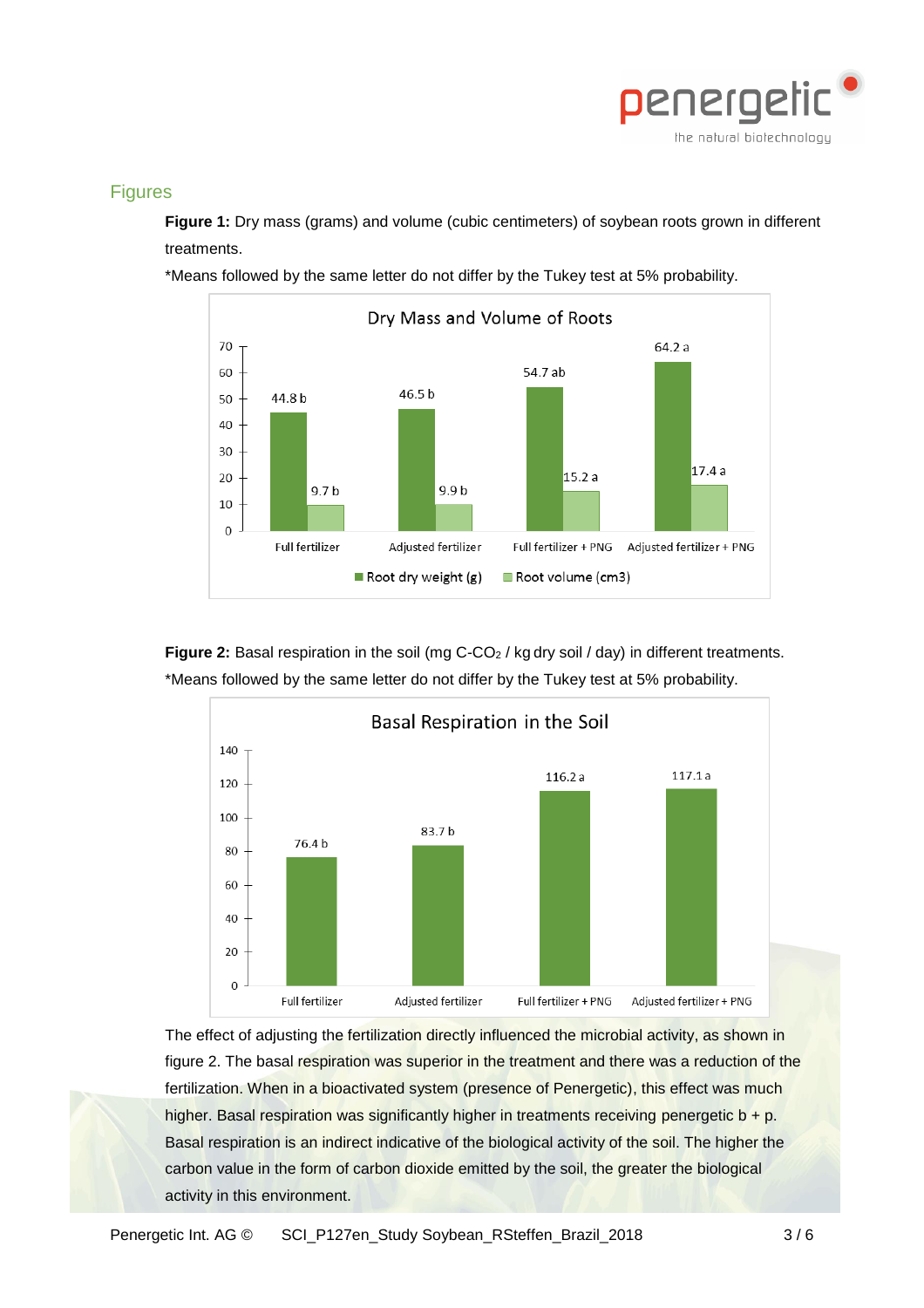

#### Figures

**Figure 1:** Dry mass (grams) and volume (cubic centimeters) of soybean roots grown in different treatments.

\*Means followed by the same letter do not differ by the Tukey test at 5% probability.



Figure 2: Basal respiration in the soil (mg C-CO<sub>2</sub> / kg dry soil / day) in different treatments. \*Means followed by the same letter do not differ by the Tukey test at 5% probability.



The effect of adjusting the fertilization directly influenced the microbial activity, as shown in figure 2. The basal respiration was superior in the treatment and there was a reduction of the fertilization. When in a bioactivated system (presence of Penergetic), this effect was much higher. Basal respiration was significantly higher in treatments receiving penergetic  $b + p$ . Basal respiration is an indirect indicative of the biological activity of the soil. The higher the carbon value in the form of carbon dioxide emitted by the soil, the greater the biological activity in this environment.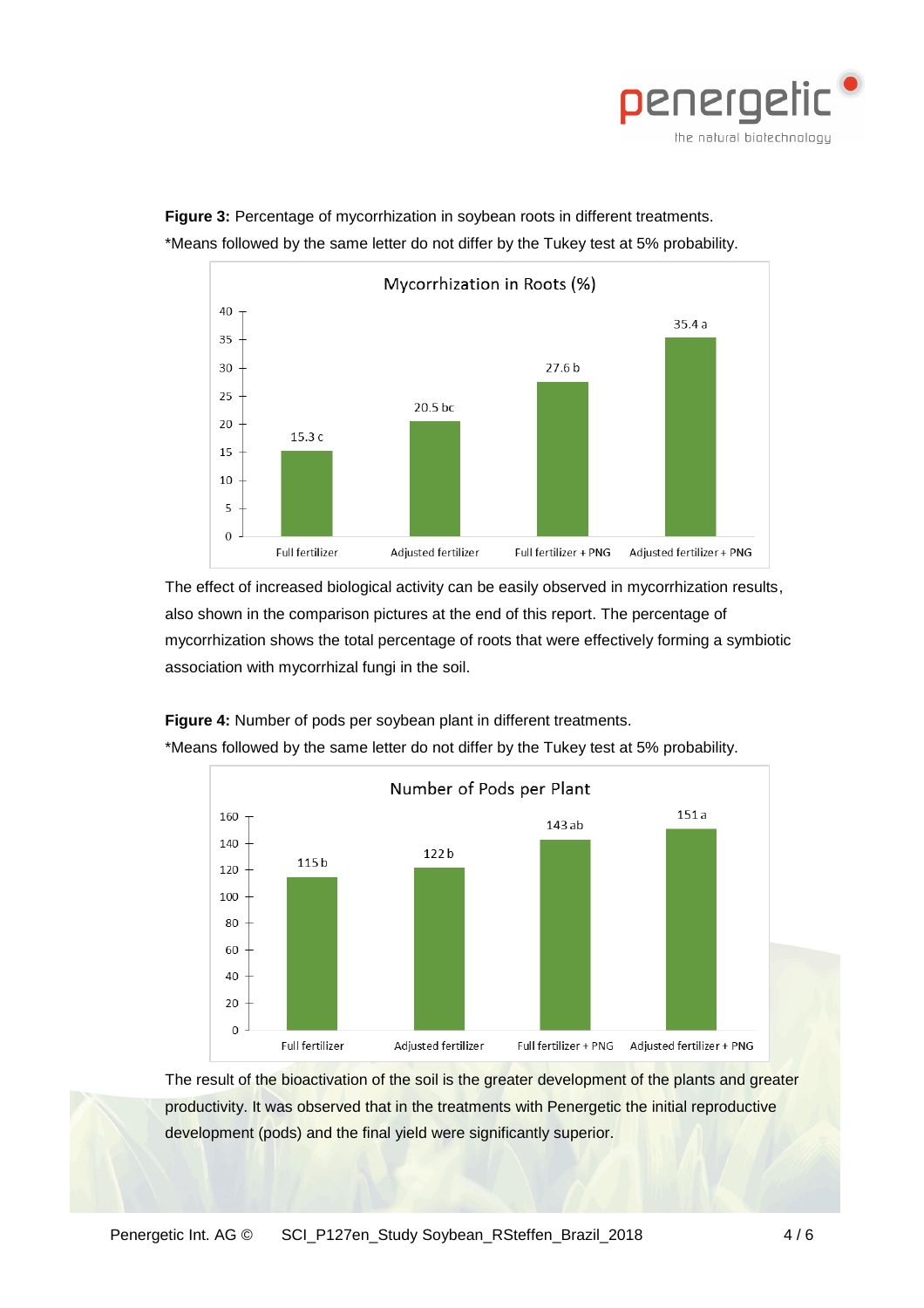



**Figure 3:** Percentage of mycorrhization in soybean roots in different treatments. \*Means followed by the same letter do not differ by the Tukey test at 5% probability.

The effect of increased biological activity can be easily observed in mycorrhization results, also shown in the comparison pictures at the end of this report. The percentage of mycorrhization shows the total percentage of roots that were effectively forming a symbiotic association with mycorrhizal fungi in the soil.





\*Means followed by the same letter do not differ by the Tukey test at 5% probability.

The result of the bioactivation of the soil is the greater development of the plants and greater productivity. It was observed that in the treatments with Penergetic the initial reproductive development (pods) and the final yield were significantly superior.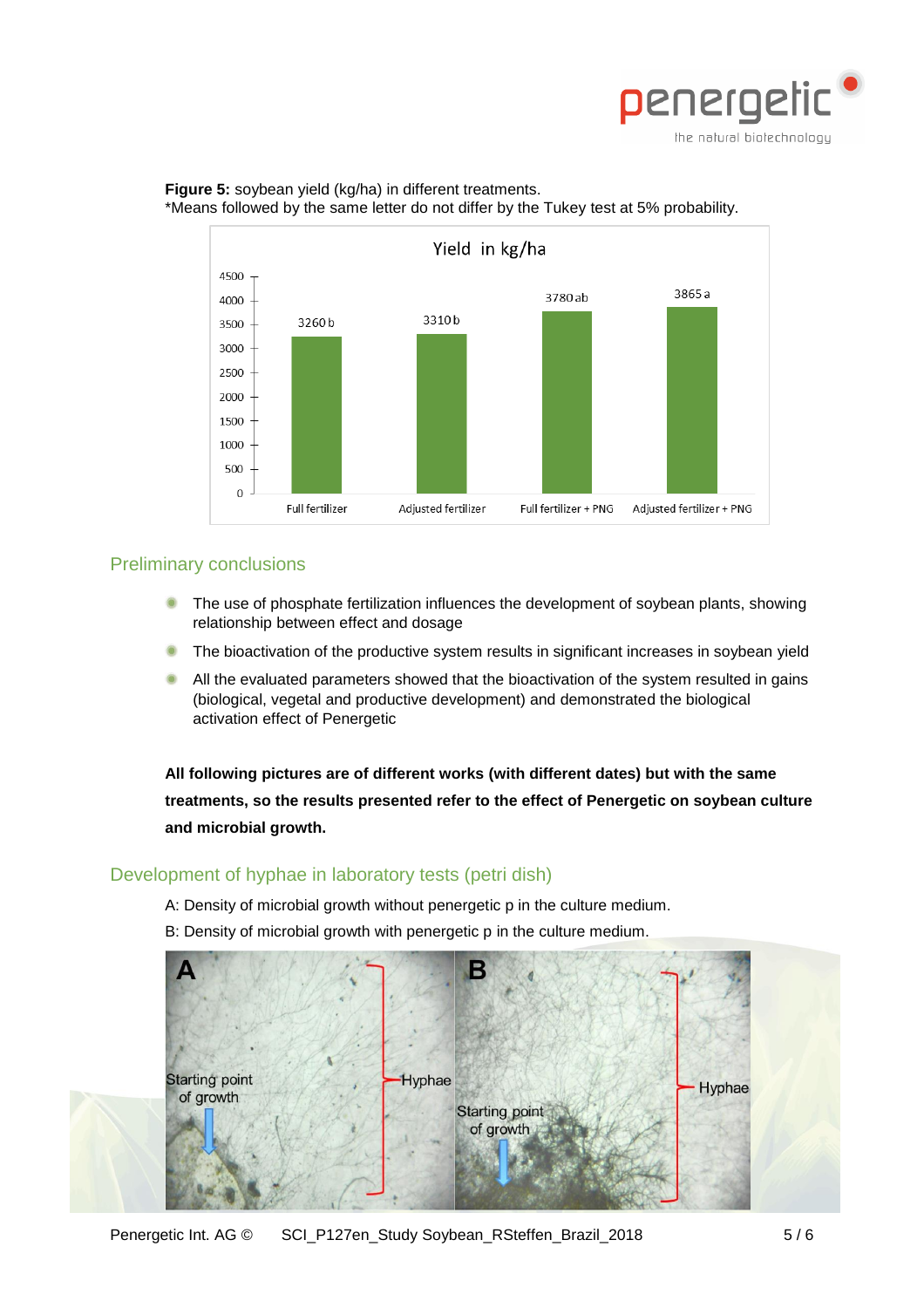

#### **Figure 5:** soybean yield (kg/ha) in different treatments. \*Means followed by the same letter do not differ by the Tukey test at 5% probability.



#### Preliminary conclusions

- The use of phosphate fertilization influences the development of soybean plants, showing relationship between effect and dosage
- The bioactivation of the productive system results in significant increases in soybean yield
- All the evaluated parameters showed that the bioactivation of the system resulted in gains (biological, vegetal and productive development) and demonstrated the biological activation effect of Penergetic

**All following pictures are of different works (with different dates) but with the same treatments, so the results presented refer to the effect of Penergetic on soybean culture and microbial growth.**

#### Development of hyphae in laboratory tests (petri dish)

- A: Density of microbial growth without penergetic p in the culture medium.
- B: Density of microbial growth with penergetic p in the culture medium.